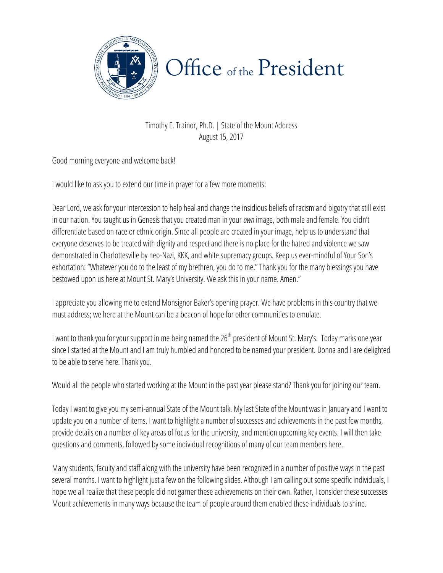

TimothyE. Trainor, Ph.D. | State of the Mount Address August 15, 2017

Good morning everyone and welcome back!

I would like to ask you to extend our time in prayer for a few more moments:

Dear Lord, we ask for your intercession to help heal and change the insidious beliefs of racism and bigotry that still exist in our nation. You taught us in Genesis that you created man in your *own*image, both male and female. You didn't differentiate based on race or ethnic origin. Since all people are created in your image, help us to understand that everyone deserves to be treated with dignity and respect and there is no place for the hatred and violence we saw demonstrated in Charlottesville by neo-Nazi, KKK, and white supremacy groups. Keep us ever-mindful of Your Son's exhortation: "Whatever you do to the least of my brethren, you do to me." Thank you for the many blessings you have bestowed upon us here at Mount St. Mary's University. We ask this in your name. Amen."

I appreciate you allowing me to extend Monsignor Baker's opening prayer. We have problems in this country that we must address; we here at the Mount can be a beacon of hope for other communities to emulate.

I want to thank you for your support in me being named the 26<sup>th</sup> president of Mount St. Mary's. Today marks one year since I started at the Mount and I am truly humbled and honored to be named your president. Donna and I are delighted to be able to serve here. Thank you.

Would all the people who started working at the Mount in the past year please stand? Thank you for joining our team.

Today I want to give you my semi-annual State of the Mount talk. My last State of the Mount was in January and I want to update you on a number of items. I want to highlight a number of successes and achievements in the past few months, provide details on a number of key areas of focus for the university, and mention upcoming key events. I will then take questions and comments, followed by some individual recognitions of many of our team members here.

several months. I want to highlight just a few on the following slides. Although I am calling out some specific individuals, I Many students, faculty and staff along with the university have been recognized in a number of positive ways in the past hope we all realize that these people did not garner these achievements on their own. Rather, I consider these successes Mount achievements in many ways because the team of people around them enabled these individuals to shine.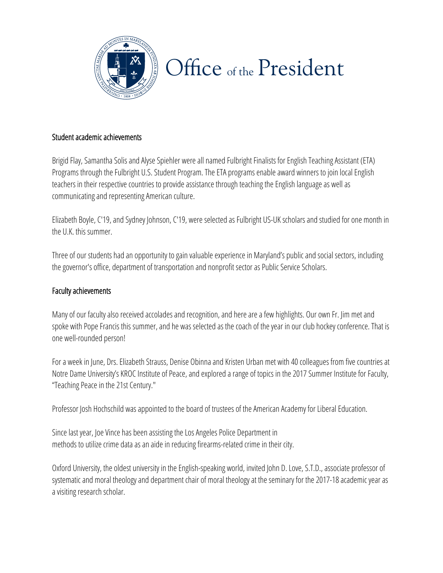

### Student academic achievements

Brigid Flay, Samantha Solis and Alyse Spiehler were all named Fulbright Finalists for English Teaching Assistant (ETA) Programs through the Fulbright U.S. Student Program. The ETA programs enable award winners to join local English teachers in their respective countries to provide assistance through teaching the English language as well as communicating and representing American culture.

Elizabeth Boyle, C'19, and Sydney Johnson, C'19, were selected as Fulbright US-UK scholars and studied for one month in the U.K. this summer.

Three of our students had an opportunity to gain valuable experience in Maryland's public and social sectors, including the governor's office, department of transportation and nonprofit sector as Public Service Scholars.

#### Faculty achievements

Many of our faculty also received accolades and recognition, and here are a few highlights. Our own Fr. Jim met and spoke with Pope Francis this summer, and he was selected as the coach of the year in our club hockey conference. That is one well-rounded person!

For a week in June, Drs. Elizabeth Strauss, Denise Obinna and Kristen Urban met with 40 colleagues from five countries at Notre Dame University's KROC Institute of Peace, and explored a range of topics in the 2017 Summer Institute for Faculty, "Teaching Peace in the 21st Century."

Professor Josh Hochschild was appointed to the board of trustees of the American Academy for Liberal Education.

Since last year, Joe Vince has been assisting the Los Angeles Police Department in methods to utilize crime data as an aide in reducing firearms-related crime in their city.

systematic and moral theology and department chair of moral theology at the seminary for the 2017-18 academic year as Oxford University, the oldest university in the English-speaking world, invited John D. Love, S.T.D., associate professor of a visiting research scholar.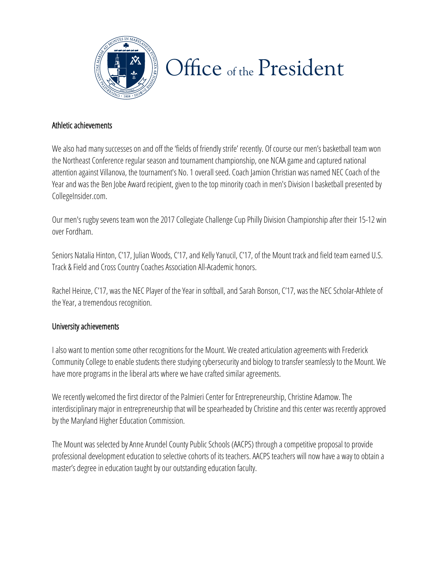

#### Athletic achievements

We also had many successes on and off the 'fields of friendly strife' recently. Of course our men's basketball team won the Northeast Conference regular season and tournament championship, one NCAA game and captured national attention against Villanova, the tournament's No. 1 overall seed. Coach Jamion Christian was named NEC Coach of the Year and was the Ben Jobe Award recipient, given to the top minority coach in men's Division I basketball presented by CollegeInsider.com.

Our men's rugby sevens team won the 2017 Collegiate Challenge Cup Philly Division Championship after their 15-12 win over Fordham.

Seniors Natalia Hinton, C'17, Julian Woods, C'17, and Kelly Yanucil, C'17, of the Mount track and field team earned U.S. Track & Field and Cross Country Coaches Association All-Academic honors.

Rachel Heinze, C'17, was the NEC Player of the Year in softball, and Sarah Bonson, C'17, was the NEC Scholar-Athlete of the Year, a tremendous recognition.

#### University achievements

I also want to mention some other recognitions for the Mount. We created articulation agreements with Frederick Community College to enable students there studying cybersecurity and biology to transfer seamlessly to the Mount. We have more programs in the liberal arts where we have crafted similar agreements.

We recently welcomed the first director of the Palmieri Center for Entrepreneurship, Christine Adamow. The interdisciplinary major in entrepreneurship that will be spearheaded by Christine and this center was recently approved by the Maryland Higher Education Commission.

professional development education to selective cohorts of its teachers. AACPS teachers will now have a way to obtain a The Mount was selected by Anne Arundel County Public Schools (AACPS) through a competitive proposal to provide master's degree in education taught by our outstanding education faculty.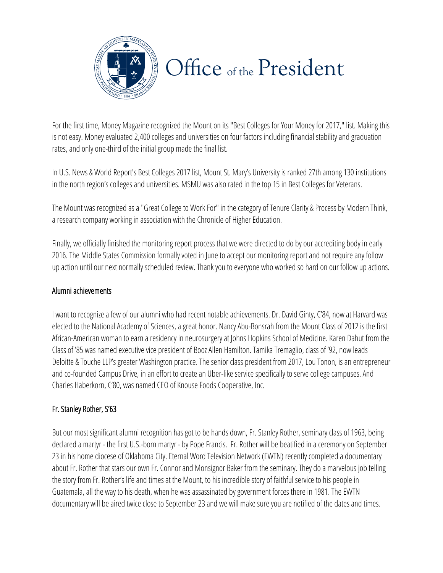

For the first time, Money Magazine recognized the Mount on its "Best Colleges for Your Money for 2017," list. Making this is not easy. Money evaluated 2,400 colleges and universities on four factors including financial stability and graduation rates, and only one-third of the initial group made the final list.

In U.S. News & World Report's Best Colleges 2017 list, Mount St. Mary's University is ranked 27th among 130 institutions in the north region's colleges and universities. MSMU was also rated in the top 15 in Best Colleges for Veterans.

The Mount was recognized as a "Great College to Work For" in the category of Tenure Clarity & Process by Modern Think, a research company working in association with the Chronicle of Higher Education.

Finally, we officially finished the monitoring report process that we were directed to do by our accrediting body in early 2016. The Middle States Commission formally voted in June to accept our monitoring report and not require any follow up action until our next normally scheduled review. Thank you to everyone who worked so hard on our follow up actions.

## Alumni achievements

I want to recognize a few of our alumni who had recent notable achievements. Dr. David Ginty, C'84, now at Harvard was elected to the National Academy of Sciences, a great honor. Nancy Abu-Bonsrah from the Mount Class of 2012 is the first African-American woman to earn a residency in neurosurgery at Johns Hopkins School of Medicine. Karen Dahut from the Class of '85 was named executive vice president of Booz Allen Hamilton. Tamika Tremaglio, class of '92, now leads Deloitte & Touche LLP's greater Washington practice. The senior class president from 2017, Lou Tonon, is an entrepreneur and co-founded Campus Drive, in an effort to create an Uber-like service specifically to serve college campuses. And Charles Haberkorn, C'80, was named CEO of Knouse Foods Cooperative, Inc.

## Fr. Stanley Rother, S'63

23 in his home diocese of Oklahoma City. Eternal Word Television Network (EWTN) recently completed a documentary the story from Fr. Rother's life and times at the Mount, to his incredible story of faithful service to his people in But our most significant alumni recognition has got to be hands down, Fr. Stanley Rother, seminary class of 1963, being declared a martyr - the first U.S.-born martyr - by Pope Francis. Fr. Rother will be beatified in a ceremony on September about Fr. Rother that stars our own Fr. Connor and Monsignor Baker from the seminary. They do a marvelous job telling Guatemala, all the way to his death, when he was assassinated by government forces there in 1981. The EWTN documentary will be aired twice close to September 23 and we will make sure you are notified of the dates and times.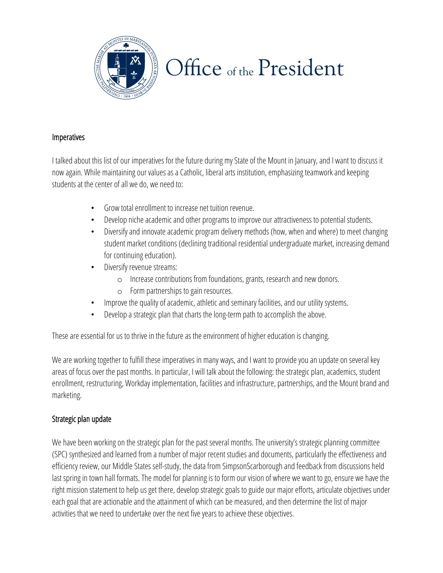

### **Imperatives**

I talked about this list of our imperatives for the future during my State of the Mount in January, and I want to discuss it now again. While maintaining our values as a Catholic, liberal arts institution, emphasizing teamwork and keeping students at the center of all we do, we need to:

- Grow total enrollment to increase net tuition revenue.
- Develop niche academic and other programs to improve our attractiveness to potential students.
- Diversify and innovate academic program delivery methods (how, when and where) to meet changing student market conditions (declining traditional residential undergraduate market, increasing demand for continuing education).
- Diversify revenue streams:
	- o Increase contributions from foundations, grants, research and new donors.
	- o Form partnerships to gain resources.
- Improve the quality of academic, athletic and seminary facilities, and our utility systems.
- Develop a strategic plan that charts the long-term path to accomplish the above.

These are essential for us to thrive in the future as the environment of higher education is changing.

We are working together to fulfill these imperatives in many ways, and I want to provide you an update on several key areas of focus over the past months. In particular, I will talk about the following: the strategic plan, academics, student enrollment, restructuring, Workday implementation, facilities and infrastructure, partnerships, and the Mount brand and marketing.

## Strategic plan update

(SPC) synthesized and learned from a number of major recent studies and documents, particularly the effectiveness and last spring in town hall formats. The model for planning is to form our vision of where we want to go, ensure we have the We have been working on the strategic plan for the past several months. The university's strategic planning committee efficiency review, our Middle States self-study, the data from SimpsonScarborough and feedback from discussions held right mission statement to help us get there, develop strategic goals to guide our major efforts, articulate objectives under each goal that are actionable and the attainment of which can be measured, and then determine the list of major activities that we need to undertake over the next five years to achieve these objectives.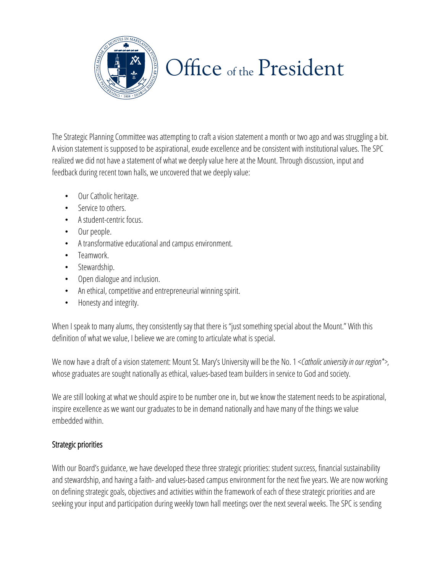

The Strategic Planning Committee was attempting to craft a vision statement a month or two ago and was struggling a bit. A vision statement is supposed to be aspirational, exude excellence and be consistent with institutional values. The SPC realized we did not have a statement of what we deeply value here at the Mount. Through discussion, input and feedback during recent town halls, we uncovered that we deeply value:

- Our Catholic heritage.
- Service to others.
- A student-centric focus.
- Our people.
- A transformative educational and campus environment.
- Teamwork.
- Stewardship.
- Open dialogue and inclusion.
- An ethical, competitive and entrepreneurial winning spirit.
- Honesty and integrity.

When I speak to many alums, they consistently say that there is "just something special about the Mount." With this definition of what we value, I believe we are coming to articulate what is special.

We now have a draft of a vision statement: Mount St. Mary's University will be the No. 1 <*Catholic university in our region\*>*, whose graduates are sought nationally as ethical, values-based team builders in service to God and society.

We are still looking at what we should aspire to be number one in, but we know the statement needs to be aspirational, inspire excellence as we want our graduates to be in demand nationally and have many of the things we value embedded within.

## Strategic priorities

and stewardship, and having a faith- and values-based campus environment for the next five years. We are now working With our Board's guidance, we have developed these three strategic priorities: student success, financial sustainability on defining strategic goals, objectives and activities within the framework of each of these strategic priorities and are seeking your input and participation during weekly town hall meetings over the next several weeks. The SPC is sending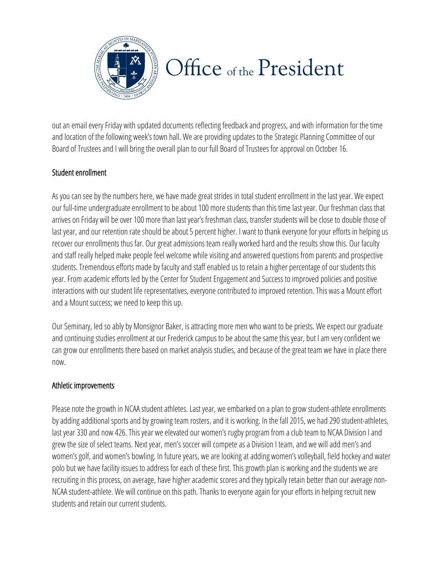

out an email every Friday with updated documents reflecting feedback and progress, and with information for the time and location of the following week's town hall. We are providing updates to the Strategic Planning Committee of our Board of Trustees and I will bring the overall plan to our full Board of Trustees for approval on October 16.

## Student enrollment

As you can see by the numbers here, we have made great strides in total student enrollment in the last year. We expect our full-time undergraduate enrollment to be about 100 more students than this time last year. Our freshman class that arrives on Friday will be over 100 more than last year's freshman class, transfer students will be close to double those of last year, and our retention rate should be about 5 percent higher. I want to thank everyone for your efforts in helping us recover our enrollments thus far. Our great admissions team really worked hard and the results show this. Our faculty and staff really helped make people feel welcome while visiting and answered questions from parents and prospective students. Tremendous efforts made by faculty and staff enabled us to retain a higher percentage of our students this year. From academic efforts led by the Center for Student Engagement and Success to improved policies and positive interactions with our student life representatives, everyone contributed to improved retention. This was a Mount effort and a Mount success; we need to keep this up.

Our Seminary, led so ably by Monsignor Baker, is attracting more men who want to be priests. We expect our graduate and continuing studies enrollment at our Frederick campus to be about the same this year, but I am very confident we can grow our enrollments there based on market analysis studies, and because of the great team we have in place there now.

## Athletic improvements

women's golf, and women's bowling. In future years, we are looking at adding women's volleyball, field hockey and water recruiting in this process, on average, have higher academic scores and they typically retain better than our average non-Please note the growth in NCAA student athletes. Last year, we embarked on a plan to grow student-athlete enrollments by adding additional sports and by growing team rosters, and it is working. In the fall 2015, we had 290 student-athletes, last year 330 and now 426. This year we elevated our women's rugby program from a club team to NCAA Division I and grew the size of select teams. Next year, men's soccer will compete as a Division I team, and we will add men's and polo but we have facility issues to address for each of these first. This growth plan is working and the students we are NCAA student-athlete. We will continue on this path. Thanks to everyone again for your efforts in helping recruit new students and retain our current students.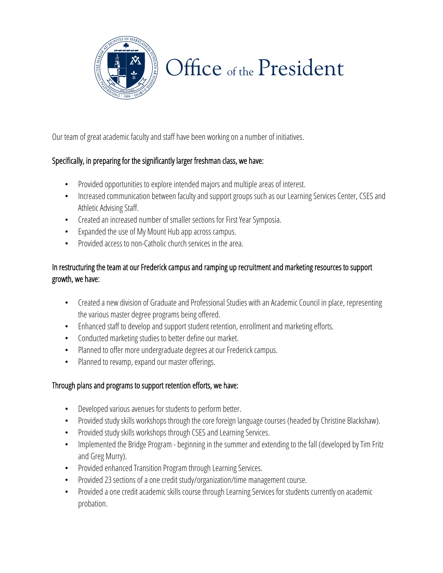

Our team of great academic faculty and staff have been working on a number of initiatives.

## Specifically, in preparing for the significantly larger freshman class, we have:

- Provided opportunities to explore intended majors and multiple areas of interest.
- Increased communication between faculty and support groups such as our Learning Services Center, CSES and Athletic Advising Staff.
- Created an increased number of smaller sections for First Year Symposia.
- Expanded the use of My Mount Hub app across campus.
- Provided access to non-Catholic church services in the area.

## In restructuring the team at our Frederick campus and ramping up recruitment and marketing resources to support growth, we have:

- Created a new division of Graduate and Professional Studies with an Academic Council in place, representing the various master degree programs being offered.
- Enhanced staff to develop and support student retention, enrollment and marketing efforts.
- Conducted marketing studies to better define our market.
- Planned to offer more undergraduate degrees at our Frederick campus.
- Planned to revamp, expand our master offerings.

## Through plans and programs to support retention efforts, we have:

- Developed various avenues for students to perform better.
- Provided study skills workshops through the core foreign language courses (headed by Christine Blackshaw).
- Provided study skills workshops through CSES and Learning Services.
- Implemented the Bridge Program beginning in the summer and extending to the fall (developed by Tim Fritz and Greg Murry).
- Provided enhanced Transition Program through Learning Services.
- Provided 23 sections of a one credit study/organization/time management course.
- Provided a one credit academic skills course through Learning Services for students currently on academic probation.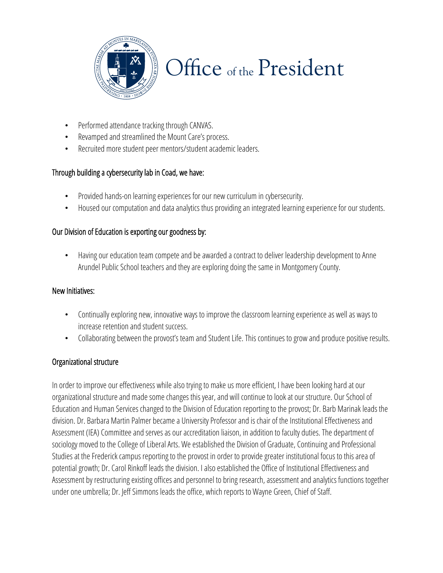

- Performed attendance tracking through CANVAS.
- Revamped and streamlined the Mount Care's process.
- Recruited more student peer mentors/student academic leaders.

## Through building a cybersecurity lab in Coad, we have:

- Provided hands-on learning experiences for our new curriculum in cybersecurity.
- Housed our computation and data analytics thus providing an integrated learning experience for our students.

## Our Division of Education is exporting our goodness by:

• Having our education team compete and be awarded a contract to deliver leadership development to Anne Arundel Public School teachers and they are exploring doing the same in Montgomery County.

#### New Initiatives:

- Continually exploring new, innovative ways to improve the classroom learning experience as well as ways to increase retention and student success.
- Collaborating between the provost's team and Student Life. This continues to grow and produce positive results.

## Organizational structure

Studies at the Frederick campus reporting to the provost in order to provide greater institutional focus to this area of Assessment by restructuring existing offices and personnel to bring research, assessment and analytics functions together In order to improve our effectiveness while also trying to make us more efficient, I have been looking hard at our organizational structure and made some changes this year, and will continue to look at our structure. Our School of Education and Human Services changed to the Division of Education reporting to the provost; Dr. Barb Marinak leads the division. Dr. Barbara Martin Palmer became a University Professor and is chair of the Institutional Effectiveness and Assessment (IEA) Committee and serves as our accreditation liaison, in addition to faculty duties. The department of sociology moved to the College of Liberal Arts. We established the Division of Graduate, Continuing and Professional potential growth; Dr. Carol Rinkoff leads the division. I also established the Office of Institutional Effectiveness and under one umbrella; Dr. Jeff Simmons leads the office, which reports to Wayne Green, Chief of Staff.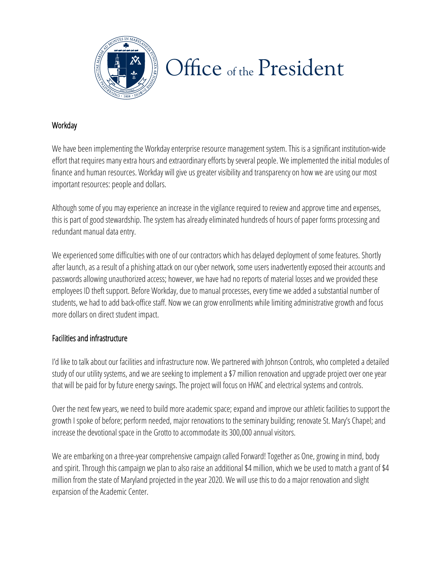

## **Workday**

We have been implementing the Workday enterprise resource management system. This is a significant institution-wide effort that requires many extra hours and extraordinary efforts by several people. We implemented the initial modules of finance and human resources. Workday will give us greater visibility and transparency on how we are using our most important resources: people and dollars.

Although some of you may experience an increase in the vigilance required to review and approve time and expenses, this is part of good stewardship. The system has already eliminated hundreds of hours of paper forms processing and redundant manual data entry.

We experienced some difficulties with one of our contractors which has delayed deployment of some features. Shortly after launch, as a result of a phishing attack on our cyber network, some users inadvertently exposed their accounts and passwords allowing unauthorized access; however, we have had no reports of material losses and we provided these employees ID theft support. Before Workday, due to manual processes, every time we added a substantial number of students, we had to add back-office staff. Now we can grow enrollments while limiting administrative growth and focus more dollars on direct student impact.

## Facilities and infrastructure

I'd like to talk about our facilities and infrastructure now. We partnered with Johnson Controls, who completed a detailed study of our utility systems, and we are seeking to implement a \$7 million renovation and upgrade project over one year that will be paid for by future energy savings. The project will focus on HVAC and electrical systems and controls.

Over the next few years, we need to build more academic space; expand and improve our athletic facilities to support the growth I spoke of before; perform needed, major renovations to the seminary building; renovate St. Mary's Chapel; and increase the devotional space in the Grotto to accommodate its 300,000 annual visitors.

We are embarking on a three-year comprehensive campaign called Forward! Together as One, growing in mind, body million from the state of Maryland projected in the year 2020. We will use this to do a major renovation and slight and spirit. Through this campaign we plan to also raise an additional \$4 million, which we be used to match a grant of \$4 expansion of the Academic Center.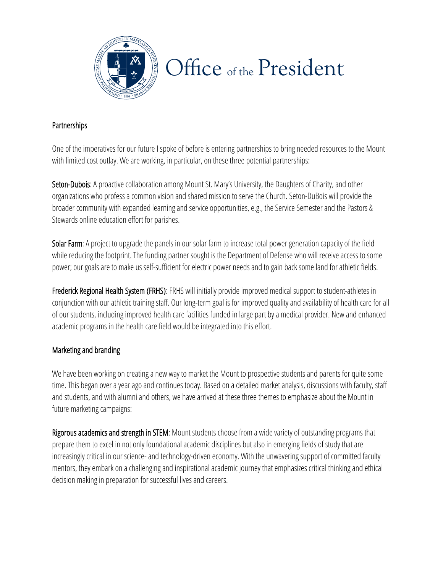

### **Partnerships**

One of the imperatives for our future I spoke of before is entering partnerships to bring needed resources to the Mount with limited cost outlay. We are working, in particular, on these three potential partnerships:

Seton-Dubois: A proactive collaboration among Mount St. Mary's University, the Daughters of Charity, and other organizations who profess a common vision and shared mission to serve the Church. Seton-DuBois will provide the broader community with expanded learning and service opportunities, e.g., the Service Semester and the Pastors & Stewards online education effort for parishes.

Solar Farm: A project to upgrade the panels in our solar farm to increase total power generation capacity of the field while reducing the footprint. The funding partner sought is the Department of Defense who will receive access to some power; our goals are to make us self-sufficient for electric power needs and to gain back some land for athletic fields.

Frederick Regional Health System (FRHS): FRHS will initially provide improved medical support to student-athletes in conjunction with our athletic training staff. Our long-term goal is for improved quality and availability of health care for all of our students, including improved health care facilities funded in large part by a medical provider. New and enhanced academic programs in the health care field would be integrated into this effort.

## Marketing and branding

We have been working on creating a new way to market the Mount to prospective students and parents for quite some time. This began over a year ago and continues today. Based on a detailed market analysis, discussions with faculty, staff and students, and with alumni and others, we have arrived at these three themes to emphasize about the Mount in future marketing campaigns:

increasingly critical in our science- and technology-driven economy. With the unwavering support of committed faculty decision making in preparation for successful lives and careers. Rigorous academics and strength in STEM: Mount students choose from a wide variety of outstanding programs that prepare them to excel in not only foundational academic disciplines but also in emerging fields of study that are mentors, they embark on a challenging and inspirational academic journey that emphasizes critical thinking and ethical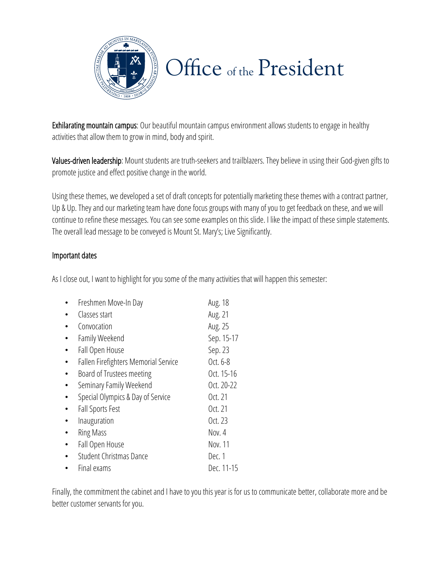

Exhilarating mountain campus: Our beautiful mountain campus environment allows students to engage in healthy activities that allow them to grow in mind, body and spirit.

Values-driven leadership: Mount students are truth-seekers and trailblazers. They believe in using their God-given gifts to promote justice and effect positive change in the world.

Using these themes, we developed a set of draft concepts for potentially marketing these themes with a contract partner, Up & Up. They and our marketing team have done focus groups with many of you to get feedback on these, and we will continue to refine these messages. You can see some examples on this slide. I like the impact of these simple statements. The overall lead message to be conveyed is Mount St. Mary's; Live Significantly.

### Important dates

As I close out, I want to highlight for you some of the many activities that will happen this semester:

| Freshmen Move-In Day                 | Aug. 18    |
|--------------------------------------|------------|
| Classes start                        | Aug. 21    |
| Convocation                          | Aug. 25    |
| Family Weekend                       | Sep. 15-17 |
| Fall Open House                      | Sep. 23    |
| Fallen Firefighters Memorial Service | Oct. 6-8   |
| Board of Trustees meeting            | Oct. 15-16 |
| Seminary Family Weekend              | Oct. 20-22 |
| Special Olympics & Day of Service    | Oct. 21    |
| Fall Sports Fest                     | Oct. 21    |
| Inauguration                         | Oct. 23    |
| <b>Ring Mass</b>                     | Nov. 4     |
| Fall Open House                      | Nov. 11    |
| Student Christmas Dance              | Dec. 1     |
| Final exams                          | Dec. 11-15 |

Finally, the commitment the cabinet and I have to you this year is for us to communicate better, collaborate more and be better customer servants for you.